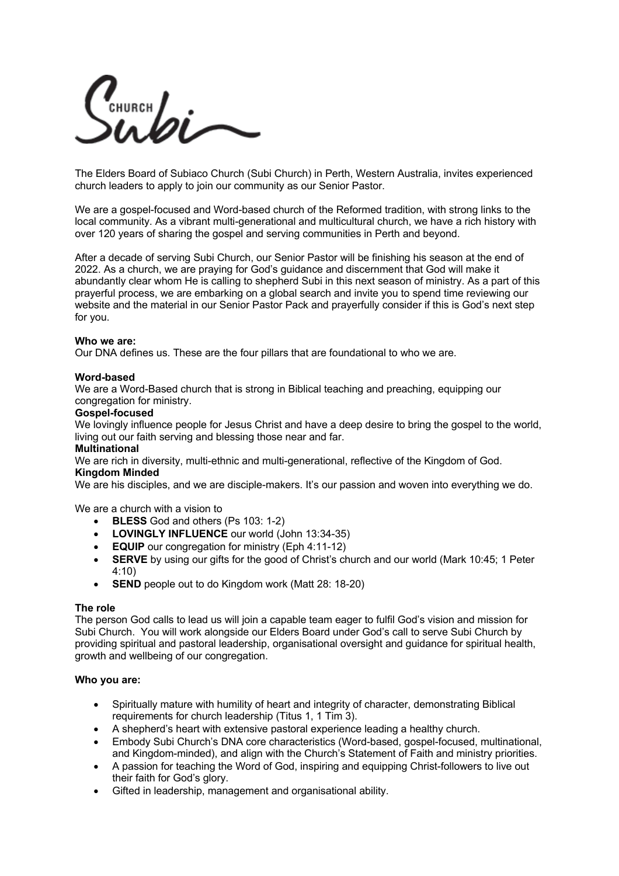CHURCH **AI** 

The Elders Board of Subiaco Church (Subi Church) in Perth, Western Australia, invites experienced church leaders to apply to join our community as our Senior Pastor.

We are a gospel-focused and Word-based church of the Reformed tradition, with strong links to the local community. As a vibrant multi-generational and multicultural church, we have a rich history with over 120 years of sharing the gospel and serving communities in Perth and beyond.

After a decade of serving Subi Church, our Senior Pastor will be finishing his season at the end of 2022. As a church, we are praying for God's guidance and discernment that God will make it abundantly clear whom He is calling to shepherd Subi in this next season of ministry. As a part of this prayerful process, we are embarking on a global search and invite you to spend time reviewing our website and the material in our Senior Pastor Pack and prayerfully consider if this is God's next step for you.

### **Who we are:**

Our DNA defines us. These are the four pillars that are foundational to who we are.

## **Word-based**

We are a Word-Based church that is strong in Biblical teaching and preaching, equipping our congregation for ministry.

### **Gospel-focused**

We lovingly influence people for Jesus Christ and have a deep desire to bring the gospel to the world, living out our faith serving and blessing those near and far.

## **Multinational**

We are rich in diversity, multi-ethnic and multi-generational, reflective of the Kingdom of God. **Kingdom Minded**

We are his disciples, and we are disciple-makers. It's our passion and woven into everything we do.

We are a church with a vision to

- **BLESS** God and others (Ps 103: 1-2)
- **LOVINGLY INFLUENCE** our world (John 13:34-35)
- **EQUIP** our congregation for ministry (Eph 4:11-12)
- **SERVE** by using our gifts for the good of Christ's church and our world (Mark 10:45; 1 Peter 4:10)
- **SEND** people out to do Kingdom work (Matt 28: 18-20)

## **The role**

The person God calls to lead us will join a capable team eager to fulfil God's vision and mission for Subi Church. You will work alongside our Elders Board under God's call to serve Subi Church by providing spiritual and pastoral leadership, organisational oversight and guidance for spiritual health, growth and wellbeing of our congregation.

## **Who you are:**

- Spiritually mature with humility of heart and integrity of character, demonstrating Biblical requirements for church leadership (Titus 1, 1 Tim 3).
- A shepherd's heart with extensive pastoral experience leading a healthy church.
- Embody Subi Church's DNA core characteristics (Word-based, gospel-focused, multinational, and Kingdom-minded), and align with the Church's Statement of Faith and ministry priorities.
- A passion for teaching the Word of God, inspiring and equipping Christ-followers to live out their faith for God's glory.
- Gifted in leadership, management and organisational ability.